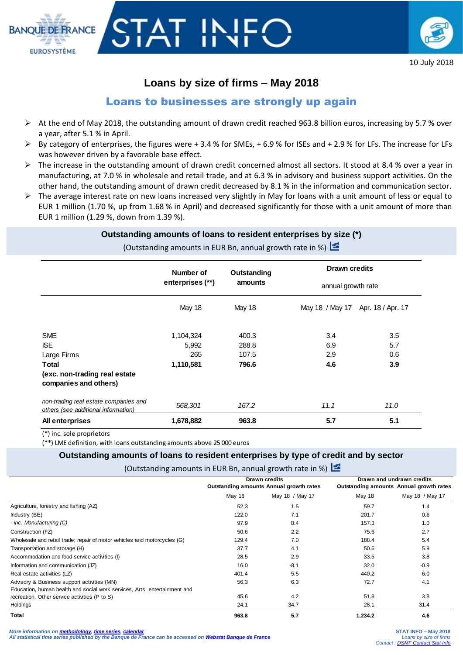



# **Loans by size of firms – May 2018**

# Loans to businesses are strongly up again

- At the end of May 2018, the outstanding amount of drawn credit reached 963.8 billion euros, increasing by 5.7 % over a year, after 5.1 % in April.
- $\triangleright$  By category of enterprises, the figures were + 3.4 % for SMEs, + 6.9 % for ISEs and + 2.9 % for LFs. The increase for LFs was however driven by a favorable base effect.
- $\triangleright$  The increase in the outstanding amount of drawn credit concerned almost all sectors. It stood at 8.4 % over a year in manufacturing, at 7.0 % in wholesale and retail trade, and at 6.3 % in advisory and business support activities. On the other hand, the outstanding amount of drawn credit decreased by 8.1 % in the information and communication sector.
- The average interest rate on new loans increased very slightly in May for loans with a unit amount of less or equal to EUR 1 million (1.70 %, up from 1.68 % in April) and decreased significantly for those with a unit amount of more than EUR 1 million (1.29 %, down from 1.39 %).

## **Outstanding amounts of loans to resident enterprises by size (\*)**

(Outstanding amounts in EUR Bn, annual growth rate in %)  $\geq$ 

|                                                                              | Number of<br>enterprises (**)<br>May 18 | Outstanding   | Drawn credits<br>annual growth rate |      |  |
|------------------------------------------------------------------------------|-----------------------------------------|---------------|-------------------------------------|------|--|
|                                                                              |                                         | amounts       |                                     |      |  |
|                                                                              |                                         | <b>May 18</b> | May 18 / May 17 Apr. 18 / Apr. 17   |      |  |
| <b>SME</b>                                                                   | 1,104,324                               | 400.3         | 3.4                                 | 3.5  |  |
| <b>ISE</b>                                                                   | 5,992                                   | 288.8         | 6.9                                 | 5.7  |  |
| Large Firms                                                                  | 265                                     | 107.5         | 2.9                                 | 0.6  |  |
| <b>Total</b>                                                                 | 1,110,581                               | 796.6         | 4.6                                 | 3.9  |  |
| (exc. non-trading real estate<br>companies and others)                       |                                         |               |                                     |      |  |
| non-trading real estate companies and<br>others (see additional information) | 568,301                                 | 167.2         | 11.1                                | 11.0 |  |
| All enterprises                                                              | 1,678,882                               | 963.8         | 5.7                                 | 5.1  |  |

(\*) inc. sole proprietors

(\*\*) LME definition, with loans outstanding amounts above 25 000 euros

## **Outstanding amounts of loans to resident enterprises by type of credit and by sector**

(Outstanding amounts in EUR Bn, annual growth rate in %)

|                                                                           |        | <b>Drawn credits</b>                    | Drawn and undrawn credits<br>Outstanding amounts Annual growth rates |                 |  |
|---------------------------------------------------------------------------|--------|-----------------------------------------|----------------------------------------------------------------------|-----------------|--|
|                                                                           |        | Outstanding amounts Annual growth rates |                                                                      |                 |  |
|                                                                           | May 18 | May 18 / May 17                         | May 18                                                               | May 18 / May 17 |  |
| Agriculture, forestry and fishing (AZ)                                    | 52.3   | 1.5                                     | 59.7                                                                 | 1.4             |  |
| Industry (BE)                                                             | 122.0  | 7.1                                     | 201.7                                                                | 0.6             |  |
| - inc. Manufacturing (C)                                                  | 97.9   | 8.4                                     | 157.3                                                                | 1.0             |  |
| Construction (FZ)                                                         | 50.6   | 2.2                                     | 75.6                                                                 | 2.7             |  |
| Wholesale and retail trade; repair of motor vehicles and motorcycles (G)  | 129.4  | 7.0                                     | 188.4                                                                | 5.4             |  |
| Transportation and storage (H)                                            | 37.7   | 4.1                                     | 50.5                                                                 | 5.9             |  |
| Accommodation and food service activities (I)                             | 28.5   | 2.9                                     | 33.5                                                                 | 3.8             |  |
| Information and communication (JZ)                                        | 16.0   | $-8.1$                                  | 32.0                                                                 | $-0.9$          |  |
| Real estate activities (LZ)                                               | 401.4  | 5.5                                     | 440.2                                                                | 6.0             |  |
| Advisory & Business support activities (MN)                               | 56.3   | 6.3                                     | 72.7                                                                 | 4.1             |  |
| Education, human health and social work services, Arts, entertainment and |        |                                         |                                                                      |                 |  |
| recreation, Other service activities (P to S)                             | 45.6   | 4.2                                     | 51.8                                                                 | 3.8             |  |
| Holdings                                                                  | 24.1   | 34.7                                    | 28.1                                                                 | 31.4            |  |
| <b>Total</b>                                                              | 963.8  | 5.7                                     | 1,234.2                                                              | 4.6             |  |

*More information on [methodology,](https://www.banque-france.fr/search-es?term=methodologie) [time series,](http://webstat.banque-france.fr/fr/browse.do?node=5384952) [calendar](https://www.banque-france.fr/en/statistics/calendar) All statistical time series published by the Banque de France can be accessed on [Webstat Banque de France](http://webstat.banque-france.fr/en/)*